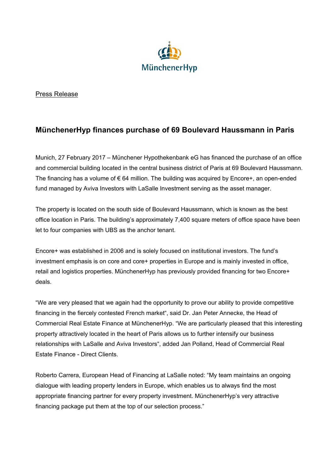

## Press Release

## **MünchenerHyp finances purchase of 69 Boulevard Haussmann in Paris**

Munich, 27 February 2017 – Münchener Hypothekenbank eG has financed the purchase of an office and commercial building located in the central business district of Paris at 69 Boulevard Haussmann. The financing has a volume of  $\epsilon$  64 million. The building was acquired by Encore+, an open-ended fund managed by Aviva Investors with LaSalle Investment serving as the asset manager.

The property is located on the south side of Boulevard Haussmann, which is known as the best office location in Paris. The building's approximately 7,400 square meters of office space have been let to four companies with UBS as the anchor tenant.

Encore+ was established in 2006 and is solely focused on institutional investors. The fund's investment emphasis is on core and core+ properties in Europe and is mainly invested in office, retail and logistics properties. MünchenerHyp has previously provided financing for two Encore+ deals.

"We are very pleased that we again had the opportunity to prove our ability to provide competitive financing in the fiercely contested French market", said Dr. Jan Peter Annecke, the Head of Commercial Real Estate Finance at MünchenerHyp. "We are particularly pleased that this interesting property attractively located in the heart of Paris allows us to further intensify our business relationships with LaSalle and Aviva Investors", added Jan Polland, Head of Commercial Real Estate Finance - Direct Clients.

Roberto Carrera, European Head of Financing at LaSalle noted: "My team maintains an ongoing dialogue with leading property lenders in Europe, which enables us to always find the most appropriate financing partner for every property investment. MünchenerHyp's very attractive financing package put them at the top of our selection process."